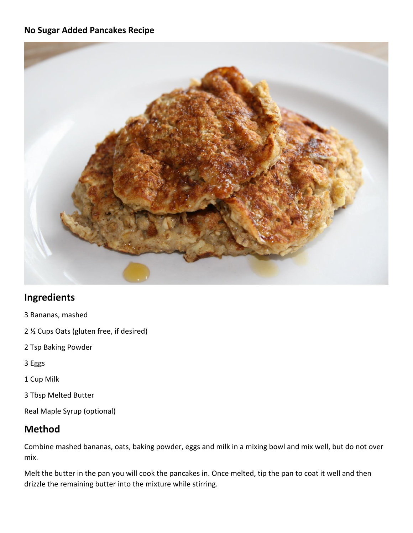## **No Sugar Added Pancakes Recipe**



## **Ingredients**

- 3 Bananas, mashed
- 2 ½ Cups Oats (gluten free, if desired)
- 2 Tsp Baking Powder
- 3 Eggs
- 1 Cup Milk
- 3 Tbsp Melted Butter
- Real Maple Syrup (optional)

## **Method**

Combine mashed bananas, oats, baking powder, eggs and milk in a mixing bowl and mix well, but do not over mix.

Melt the butter in the pan you will cook the pancakes in. Once melted, tip the pan to coat it well and then drizzle the remaining butter into the mixture while stirring.